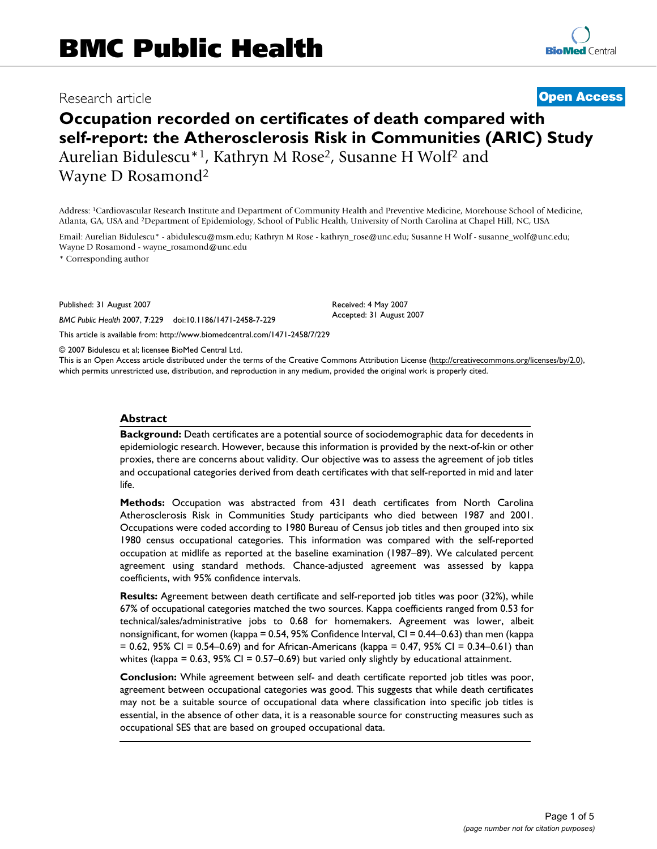# Research article **[Open Access](http://www.biomedcentral.com/info/about/charter/)**

# **Occupation recorded on certificates of death compared with self-report: the Atherosclerosis Risk in Communities (ARIC) Study** Aurelian Bidulescu\*1, Kathryn M Rose2, Susanne H Wolf2 and Wayne D Rosamond2

Address: 1Cardiovascular Research Institute and Department of Community Health and Preventive Medicine, Morehouse School of Medicine, Atlanta, GA, USA and 2Department of Epidemiology, School of Public Health, University of North Carolina at Chapel Hill, NC, USA

Email: Aurelian Bidulescu\* - abidulescu@msm.edu; Kathryn M Rose - kathryn\_rose@unc.edu; Susanne H Wolf - susanne\_wolf@unc.edu; Wayne D Rosamond - wayne\_rosamond@unc.edu

\* Corresponding author

Published: 31 August 2007

*BMC Public Health* 2007, **7**:229 doi:10.1186/1471-2458-7-229

[This article is available from: http://www.biomedcentral.com/1471-2458/7/229](http://www.biomedcentral.com/1471-2458/7/229)

© 2007 Bidulescu et al; licensee BioMed Central Ltd.

This is an Open Access article distributed under the terms of the Creative Commons Attribution License [\(http://creativecommons.org/licenses/by/2.0\)](http://creativecommons.org/licenses/by/2.0), which permits unrestricted use, distribution, and reproduction in any medium, provided the original work is properly cited.

Received: 4 May 2007 Accepted: 31 August 2007

#### **Abstract**

**Background:** Death certificates are a potential source of sociodemographic data for decedents in epidemiologic research. However, because this information is provided by the next-of-kin or other proxies, there are concerns about validity. Our objective was to assess the agreement of job titles and occupational categories derived from death certificates with that self-reported in mid and later life.

**Methods:** Occupation was abstracted from 431 death certificates from North Carolina Atherosclerosis Risk in Communities Study participants who died between 1987 and 2001. Occupations were coded according to 1980 Bureau of Census job titles and then grouped into six 1980 census occupational categories. This information was compared with the self-reported occupation at midlife as reported at the baseline examination (1987–89). We calculated percent agreement using standard methods. Chance-adjusted agreement was assessed by kappa coefficients, with 95% confidence intervals.

**Results:** Agreement between death certificate and self-reported job titles was poor (32%), while 67% of occupational categories matched the two sources. Kappa coefficients ranged from 0.53 for technical/sales/administrative jobs to 0.68 for homemakers. Agreement was lower, albeit nonsignificant, for women (kappa = 0.54, 95% Confidence Interval, CI = 0.44–0.63) than men (kappa  $= 0.62$ , 95% CI = 0.54–0.69) and for African-Americans (kappa = 0.47, 95% CI = 0.34–0.61) than whites (kappa =  $0.63$ , 95% CI =  $0.57-0.69$ ) but varied only slightly by educational attainment.

**Conclusion:** While agreement between self- and death certificate reported job titles was poor, agreement between occupational categories was good. This suggests that while death certificates may not be a suitable source of occupational data where classification into specific job titles is essential, in the absence of other data, it is a reasonable source for constructing measures such as occupational SES that are based on grouped occupational data.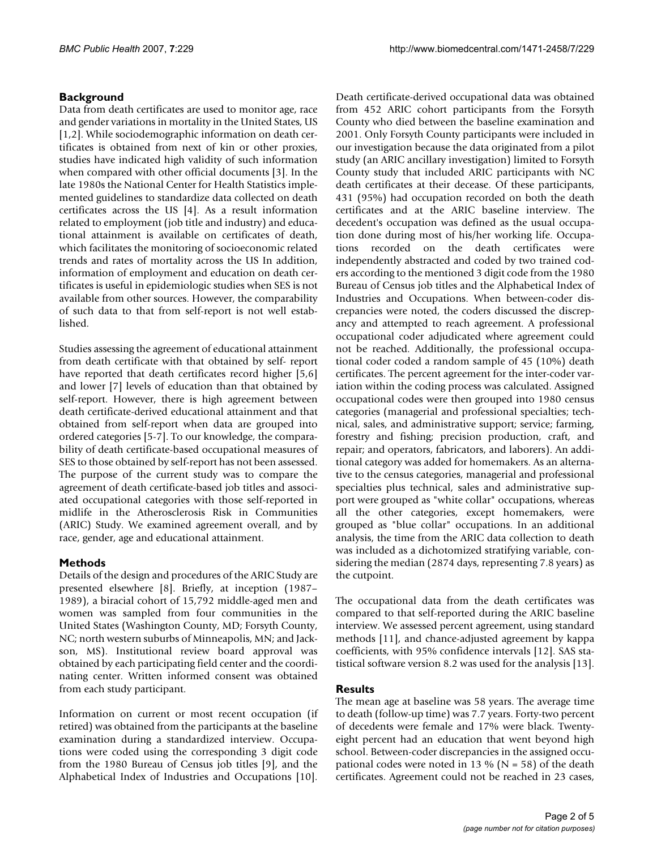# **Background**

Data from death certificates are used to monitor age, race and gender variations in mortality in the United States, US [1,2]. While sociodemographic information on death certificates is obtained from next of kin or other proxies, studies have indicated high validity of such information when compared with other official documents [3]. In the late 1980s the National Center for Health Statistics implemented guidelines to standardize data collected on death certificates across the US [4]. As a result information related to employment (job title and industry) and educational attainment is available on certificates of death, which facilitates the monitoring of socioeconomic related trends and rates of mortality across the US In addition, information of employment and education on death certificates is useful in epidemiologic studies when SES is not available from other sources. However, the comparability of such data to that from self-report is not well established.

Studies assessing the agreement of educational attainment from death certificate with that obtained by self- report have reported that death certificates record higher [5,6] and lower [7] levels of education than that obtained by self-report. However, there is high agreement between death certificate-derived educational attainment and that obtained from self-report when data are grouped into ordered categories [5-7]. To our knowledge, the comparability of death certificate-based occupational measures of SES to those obtained by self-report has not been assessed. The purpose of the current study was to compare the agreement of death certificate-based job titles and associated occupational categories with those self-reported in midlife in the Atherosclerosis Risk in Communities (ARIC) Study. We examined agreement overall, and by race, gender, age and educational attainment.

# **Methods**

Details of the design and procedures of the ARIC Study are presented elsewhere [8]. Briefly, at inception (1987– 1989), a biracial cohort of 15,792 middle-aged men and women was sampled from four communities in the United States (Washington County, MD; Forsyth County, NC; north western suburbs of Minneapolis, MN; and Jackson, MS). Institutional review board approval was obtained by each participating field center and the coordinating center. Written informed consent was obtained from each study participant.

Information on current or most recent occupation (if retired) was obtained from the participants at the baseline examination during a standardized interview. Occupations were coded using the corresponding 3 digit code from the 1980 Bureau of Census job titles [9], and the Alphabetical Index of Industries and Occupations [10].

Death certificate-derived occupational data was obtained from 452 ARIC cohort participants from the Forsyth County who died between the baseline examination and 2001. Only Forsyth County participants were included in our investigation because the data originated from a pilot study (an ARIC ancillary investigation) limited to Forsyth County study that included ARIC participants with NC death certificates at their decease. Of these participants, 431 (95%) had occupation recorded on both the death certificates and at the ARIC baseline interview. The decedent's occupation was defined as the usual occupation done during most of his/her working life. Occupations recorded on the death certificates were independently abstracted and coded by two trained coders according to the mentioned 3 digit code from the 1980 Bureau of Census job titles and the Alphabetical Index of Industries and Occupations. When between-coder discrepancies were noted, the coders discussed the discrepancy and attempted to reach agreement. A professional occupational coder adjudicated where agreement could not be reached. Additionally, the professional occupational coder coded a random sample of 45 (10%) death certificates. The percent agreement for the inter-coder variation within the coding process was calculated. Assigned occupational codes were then grouped into 1980 census categories (managerial and professional specialties; technical, sales, and administrative support; service; farming, forestry and fishing; precision production, craft, and repair; and operators, fabricators, and laborers). An additional category was added for homemakers. As an alternative to the census categories, managerial and professional specialties plus technical, sales and administrative support were grouped as "white collar" occupations, whereas all the other categories, except homemakers, were grouped as "blue collar" occupations. In an additional analysis, the time from the ARIC data collection to death was included as a dichotomized stratifying variable, considering the median (2874 days, representing 7.8 years) as the cutpoint.

The occupational data from the death certificates was compared to that self-reported during the ARIC baseline interview. We assessed percent agreement, using standard methods [11], and chance-adjusted agreement by kappa coefficients, with 95% confidence intervals [12]. SAS statistical software version 8.2 was used for the analysis [13].

# **Results**

The mean age at baseline was 58 years. The average time to death (follow-up time) was 7.7 years. Forty-two percent of decedents were female and 17% were black. Twentyeight percent had an education that went beyond high school. Between-coder discrepancies in the assigned occupational codes were noted in 13 % ( $N = 58$ ) of the death certificates. Agreement could not be reached in 23 cases,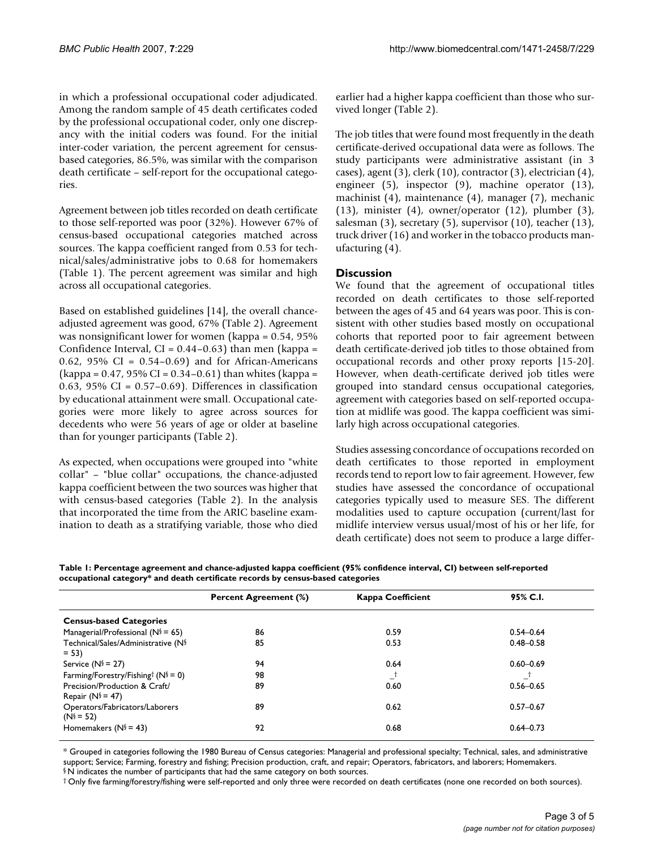in which a professional occupational coder adjudicated. Among the random sample of 45 death certificates coded by the professional occupational coder, only one discrepancy with the initial coders was found. For the initial inter-coder variation, the percent agreement for censusbased categories, 86.5%, was similar with the comparison death certificate – self-report for the occupational categories.

Agreement between job titles recorded on death certificate to those self-reported was poor (32%). However 67% of census-based occupational categories matched across sources. The kappa coefficient ranged from 0.53 for technical/sales/administrative jobs to 0.68 for homemakers (Table 1). The percent agreement was similar and high across all occupational categories.

Based on established guidelines [14], the overall chanceadjusted agreement was good, 67% (Table 2). Agreement was nonsignificant lower for women (kappa = 0.54, 95% Confidence Interval,  $CI = 0.44 - 0.63$ ) than men (kappa = 0.62, 95% CI =  $0.54-0.69$  and for African-Americans  $(kappa = 0.47, 95\% \text{ CI} = 0.34 - 0.61)$  than whites  $(kappa = 1.47, 95\% \text{ CI} = 0.34 - 0.61)$ 0.63, 95% CI =  $0.57-0.69$ ). Differences in classification by educational attainment were small. Occupational categories were more likely to agree across sources for decedents who were 56 years of age or older at baseline than for younger participants (Table 2).

As expected, when occupations were grouped into "white collar" – "blue collar" occupations, the chance-adjusted kappa coefficient between the two sources was higher that with census-based categories (Table 2). In the analysis that incorporated the time from the ARIC baseline examination to death as a stratifying variable, those who died earlier had a higher kappa coefficient than those who survived longer (Table 2).

The job titles that were found most frequently in the death certificate-derived occupational data were as follows. The study participants were administrative assistant (in 3 cases), agent (3), clerk (10), contractor (3), electrician (4), engineer (5), inspector (9), machine operator (13), machinist (4), maintenance (4), manager (7), mechanic (13), minister (4), owner/operator (12), plumber (3), salesman (3), secretary (5), supervisor (10), teacher (13), truck driver (16) and worker in the tobacco products manufacturing (4).

# **Discussion**

We found that the agreement of occupational titles recorded on death certificates to those self-reported between the ages of 45 and 64 years was poor. This is consistent with other studies based mostly on occupational cohorts that reported poor to fair agreement between death certificate-derived job titles to those obtained from occupational records and other proxy reports [15-20]. However, when death-certificate derived job titles were grouped into standard census occupational categories, agreement with categories based on self-reported occupation at midlife was good. The kappa coefficient was similarly high across occupational categories.

Studies assessing concordance of occupations recorded on death certificates to those reported in employment records tend to report low to fair agreement. However, few studies have assessed the concordance of occupational categories typically used to measure SES. The different modalities used to capture occupation (current/last for midlife interview versus usual/most of his or her life, for death certificate) does not seem to produce a large differ-

**Table 1: Percentage agreement and chance-adjusted kappa coefficient (95% confidence interval, CI) between self-reported occupational category\* and death certificate records by census-based categories**

|                                                       | <b>Percent Agreement (%)</b> | <b>Kappa Coefficient</b> | 95% C.I.      |
|-------------------------------------------------------|------------------------------|--------------------------|---------------|
| <b>Census-based Categories</b>                        |                              |                          |               |
| Managerial/Professional ( $N$ § = 65)                 | 86                           | 0.59                     | $0.54 - 0.64$ |
| Technical/Sales/Administrative (N§<br>$= 53$          | 85                           | 0.53                     | $0.48 - 0.58$ |
| Service ( $N^{\S}$ = 27)                              | 94                           | 0.64                     | $0.60 - 0.69$ |
| Farming/Forestry/Fishing <sup>†</sup> ( $N$ § = 0)    | 98                           | $-$                      |               |
| Precision/Production & Craft/<br>Repair ( $N$ § = 47) | 89                           | 0.60                     | $0.56 - 0.65$ |
| Operators/Fabricators/Laborers<br>$(N^s = 52)$        | 89                           | 0.62                     | $0.57 - 0.67$ |
| Homemakers ( $N$ § = 43)                              | 92                           | 0.68                     | $0.64 - 0.73$ |
|                                                       |                              |                          |               |

\* Grouped in categories following the 1980 Bureau of Census categories: Managerial and professional specialty; Technical, sales, and administrative support; Service; Farming, forestry and fishing; Precision production, craft, and repair; Operators, fabricators, and laborers; Homemakers. § N indicates the number of participants that had the same category on both sources.

† Only five farming/forestry/fishing were self-reported and only three were recorded on death certificates (none one recorded on both sources).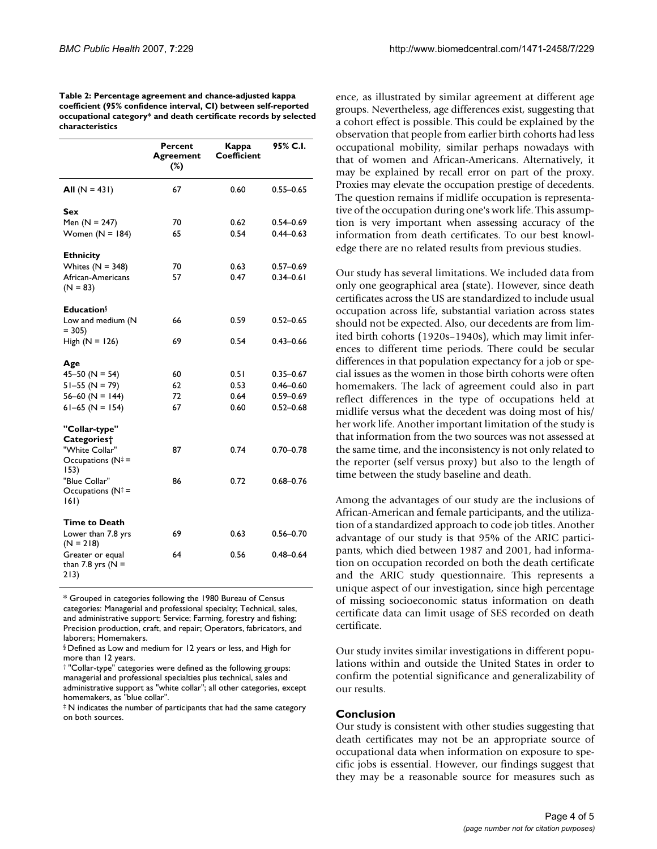| Table 2: Percentage agreement and chance-adjusted kappa          |
|------------------------------------------------------------------|
| coefficient (95% confidence interval, CI) between self-reported  |
| occupational category* and death certificate records by selected |
| characteristics                                                  |

|                                                  | Percent<br>Agreement<br>$(\%)$ | Kappa<br>Coefficient | 95% C.I.      |
|--------------------------------------------------|--------------------------------|----------------------|---------------|
| All $(N = 431)$                                  | 67                             | 0.60                 | $0.55 - 0.65$ |
| Sex                                              |                                |                      |               |
| Men $(N = 247)$                                  | 70                             | 0.62                 | $0.54 - 0.69$ |
| Women $(N = 184)$                                | 65                             | 0.54                 | $0.44 - 0.63$ |
| <b>Ethnicity</b>                                 |                                |                      |               |
| Whites $(N = 348)$                               | 70                             | 0.63                 | $0.57 - 0.69$ |
| African-Americans<br>$(N = 83)$                  | 57                             | 0.47                 | $0.34 - 0.61$ |
| <b>Education</b> §                               |                                |                      |               |
| Low and medium (N<br>$= 305$                     | 66                             | 0.59                 | $0.52 - 0.65$ |
| High $(N = 126)$                                 | 69                             | 0.54                 | $0.43 - 0.66$ |
| Age                                              |                                |                      |               |
| $45 - 50$ (N = 54)                               | 60                             | 0.51                 | $0.35 - 0.67$ |
| $51 - 55$ (N = 79)                               | 62                             | 0.53                 | $0.46 - 0.60$ |
| $56-60$ (N = 144)                                | 72                             | 0.64                 | $0.59 - 0.69$ |
| $61-65$ (N = 154)                                | 67                             | 0.60                 | $0.52 - 0.68$ |
| "Collar-type"<br>Categories <sup>+</sup>         |                                |                      |               |
| "White Collar"                                   | 87                             | 0.74                 | $0.70 - 0.78$ |
| Occupations ( $N^{\ddagger}$ =<br>153)           |                                |                      |               |
| "Blue Collar"                                    | 86                             | 0.72                 | $0.68 - 0.76$ |
| Occupations ( $N^{\ddagger}$ =<br> 6             |                                |                      |               |
| <b>Time to Death</b>                             |                                |                      |               |
| Lower than 7.8 yrs<br>$(N = 218)$                | 69                             | 0.63                 | $0.56 - 0.70$ |
| Greater or equal<br>than 7.8 yrs ( $N =$<br>213) | 64                             | 0.56                 | $0.48 - 0.64$ |

\* Grouped in categories following the 1980 Bureau of Census categories: Managerial and professional specialty; Technical, sales, and administrative support; Service; Farming, forestry and fishing; Precision production, craft, and repair; Operators, fabricators, and laborers; Homemakers.

‡ N indicates the number of participants that had the same category on both sources.

ence, as illustrated by similar agreement at different age groups. Nevertheless, age differences exist, suggesting that a cohort effect is possible. This could be explained by the observation that people from earlier birth cohorts had less occupational mobility, similar perhaps nowadays with that of women and African-Americans. Alternatively, it may be explained by recall error on part of the proxy. Proxies may elevate the occupation prestige of decedents. The question remains if midlife occupation is representative of the occupation during one's work life. This assumption is very important when assessing accuracy of the information from death certificates. To our best knowledge there are no related results from previous studies.

Our study has several limitations. We included data from only one geographical area (state). However, since death certificates across the US are standardized to include usual occupation across life, substantial variation across states should not be expected. Also, our decedents are from limited birth cohorts (1920s–1940s), which may limit inferences to different time periods. There could be secular differences in that population expectancy for a job or special issues as the women in those birth cohorts were often homemakers. The lack of agreement could also in part reflect differences in the type of occupations held at midlife versus what the decedent was doing most of his/ her work life. Another important limitation of the study is that information from the two sources was not assessed at the same time, and the inconsistency is not only related to the reporter (self versus proxy) but also to the length of time between the study baseline and death.

Among the advantages of our study are the inclusions of African-American and female participants, and the utilization of a standardized approach to code job titles. Another advantage of our study is that 95% of the ARIC participants, which died between 1987 and 2001, had information on occupation recorded on both the death certificate and the ARIC study questionnaire. This represents a unique aspect of our investigation, since high percentage of missing socioeconomic status information on death certificate data can limit usage of SES recorded on death certificate.

Our study invites similar investigations in different populations within and outside the United States in order to confirm the potential significance and generalizability of our results.

#### **Conclusion**

Our study is consistent with other studies suggesting that death certificates may not be an appropriate source of occupational data when information on exposure to specific jobs is essential. However, our findings suggest that they may be a reasonable source for measures such as

<sup>§</sup> Defined as Low and medium for 12 years or less, and High for more than 12 years.

<sup>† &</sup>quot;Collar-type" categories were defined as the following groups: managerial and professional specialties plus technical, sales and administrative support as "white collar"; all other categories, except homemakers, as "blue collar".